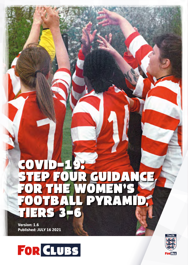# COVID-19: TEP FOUR GUIDANCE FOR THE WOMEN'S FOOTBALL PYRAMID, TIERS 3-6

**Version: 1.6 Published: JULY 16 2021**



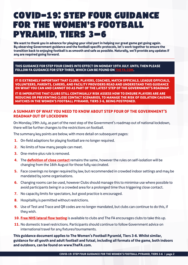## COVID-19: STEP FOUR GUIDANCE FOR THE WOMEN'S FOOTBALL PYRAMID, TIERS 3–6

**We want to thank you in advance for playing your vital part in helping our great game get going again. By observing Government guidance and the football-specific protocols, let's work together to ensure the transition back to enjoying football is as smooth and safe as possible. Naturally, we'll provide any updates if any are required going forward.**

**THIS GUIDANCE FOR STEP FOUR COMES INTO EFFECT ON MONDAY 19TH JULY. UNTIL THEN PLEASE FOLLOW FA GUIDANCE FOR STEP THREE, WHICH CAN BE FOUND ON THE FALL ASSESS** 

**IT IS EXTREMELY IMPORTANT THAT CLUBS, PLAYERS, COACHES, MATCH OFFICIALS, LEAGUE OFFICIALS, VOLUNTEERS, PARENTS, CARERS, AND FACILITY PROVIDERS READ AND UNDERSTAND THIS GUIDANCE ON WHAT YOU CAN AND CANNOT DO AS PART OF THE LATEST STEP OF THE GOVERNMENT'S ROADMAP.**

**IT IS IMPERATIVE THAT CLUBS STILL CONTINUALLY RISK ASSESS HOW TO ENSURE PLAYERS ARE ARE REDUCING OR PREVENTING CLOSE CONTACT SCENARIOS, TO MANAGE THE RISK OF ISOLATION CAUSING MATCHES IN THE WOMEN'S FOOTBALL PYRAMID, TIERS 3-6, BEING POSTPONED.** 

### **A SUMMARY OF WHAT YOU NEED TO KNOW ABOUT STEP FOUR OF THE GOVERNMENT'S ROADMAP OUT OF LOCKDOWN**

On Monday 19th July, as part of the next step of the Government's roadmap out of national lockdown, there will be further changes to the restrictions on football.

The summary key points are below, with more detail on subsequent pages:

- **1.** On-field adaptions for playing football are no longer required.
- **2.** No limits of how many people can meet.
- **3.** One-metre-plus rule is removed.
- **4.** The **[definition of close contact](https://www.gov.uk/government/publications/guidance-for-contacts-of-people-with-possible-or-confirmed-coronavirus-covid-19-infection-who-do-not-live-with-the-person/guidance-for-contacts-of-people-with-possible-or-confirmed-coronavirus-covid-19-infection-who-do-not-live-with-the-person)** remains the same, however the rules on self-isolation will be changing from the 16th August for those fully vaccinated.
- **5.** Face coverings no longer required by law, but recommended in crowded indoor settings and may be mandated by some organisations.
- **6.** Changing rooms can be used, however Clubs should manage this to minimise use where possible to avoid participants being in a crowded area for a prolonged time thus triggering close contact.
- **7.** No capacity limits for spectators, but good practice is encouraged.
- **8.** Hospitality is permitted without restrictions.
- **9.** Use of Test and Trace and QR codes are no longer mandated, but clubs can continue to do this, if they wish.
- **10. [Free NHS lateral flow testing](https://www.gov.uk/order-coronavirus-rapid-lateral-flow-tests)** is available to clubs and The FA encourages clubs to take this up.
- **11.** No domestic travel restrictions. Participants should continue to follow Government advice on international travel for any fixtures/tournaments.

**This guidance document applies to The Women's Football Pyramid, Tiers 3-6. Whilst similar, guidance for all youth and adult football and futsal, including all formats of the game, both indoors and outdoors, can be found on www.TheFA.com.**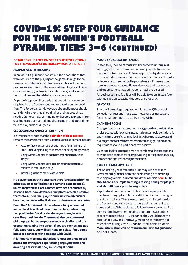### COVID-19: STEP FOUR GUIDANCE FOR THE WOMEN'S FOOTBALL PYRAMID, TIERS 3-6 (CONTINUED)

#### **DETAILED GUIDANCE ON STEP FOUR RESTRICTIONS FOR THE WOMEN'S FOOTBALL PYRAMID, TIERS 3-6**

#### **ADAPTATIONS TO THE GAME**

In previous FA guidance, we set out the adaptations that were required to the playing of the game, to align to the Government's team sports framework. This included not prolonging elements of the game where players will be in close proximity (i.e. free kicks and corners) and avoiding team huddles and handshakes (for example).

As part of step four, these adaptations will no longer be required by the Government and so have been removed from The FA guidance. However, clubs and leagues should consider whether they should tailor their approach, as needed (for example, continuing to discourage players from shaking hands or maintaining distancing in and around the field of play such as dugouts).

#### **CLOSE CONTACT AND SELF-ISOLATION**

It is important to note that the **[definition of close contact](https://www.gov.uk/government/publications/guidance-for-contacts-of-people-with-possible-or-confirmed-coronavirus-covid-19-infection-who-do-not-live-with-the-person/guidance-for-contacts-of-people-with-possible-or-confirmed-coronavirus-covid-19-infection-who-do-not-live-with-the-person)** remains the same in step four. Examples of close contact include:

- Face-to-face contact under one metre for any length of time – including talking to someone or being coughed on;
- Being within 1 metre of each other for one minute or longer;
- Being within 2 metres of each other for more than 15 minutes in total in one day;
- Travelling in the same private vehicle.

**If a player tests positive on a team there is not a need for the other players to self-isolate (or a game to be postponed), unless they were in close contact, have been contacted by Test and Trace, have developed symptoms or tested positive themselves. Therefore, players and clubs should consider how they can reduce the likelihood of close contact occurring.** 

**From the 16th August, those who are fully vaccinated and under-18s will not have to self-isolate, unless they test positive for Covid or develop symptoms, in which case they must isolate. There must also be a two-week (14 day) gap between your second vaccination and this exemption coming into effect. If you are over 18 and not fully vaccinated, you will still need to isolate if you come into close contact with someone with Covid.** 

**It is important to note that players must continue to selfassess and if they are experiencing any symptoms and awaiting a test result, they must stay at home.**

#### **MASKS AND SOCIAL DISTANCING**

In step four, the use of masks will become voluntary in all settings, with the Government advising people to use their personal judgement and to take responsibility, depending on the situation. Government advice is that the use of masks reduce risks to people (both yourselves and those around you) in crowded spaces. Please also note that businesses and organisations may still require masks to be used.

All businesses and facilities will be able to open in step four, with no caps on capacity (indoors or outdoors).

#### **QR CODES**

There will be no legal requirement for use of QR codes of collection of Test and Trace data, however businesses and facilities can continue to do this, if they wish.

#### **CHANGING ROOMS**

Changing rooms can be used. However, given that the definition of close contact is not changing, participants should consider this and minimise use of changing facilities where possible, to avoid prolonged contact with others which could trigger an isolation requirement should a participant test positive.

Clubs and facilities may also wish to consider taking precautions to avoid close contact, for example, asking participants to socially distance and ensure thorough ventilation.

#### **FREE LATERAL FLOW TESTS**

The FA strongly recommends clubs may wish to follow Government guidance and consider following a communitytesting programme. You can find details on this **[here](https://www.gov.uk/guidance/surge-testing-for-new-coronavirus-covid-19-variants?priority-taxon=774cee22-d896-44c1-a611-e3109cce8eae)**. **Clubs should consider implementing a testing policy for players and staff 48 hours prior to any fixture.**

Rapid lateral flow tests help to find cases in people who may have no symptoms but are still infectious and can give the virus to others. These are currently distributed free by the Government and you can order packs to be sent to a home address. Where clubs do follow the twice-weekly free community Government testing programme, according to recently published PHE guidance they would meet the criteria for a Low-Risk Pathway, meaning certain first aid restrictions during Covid-19 can be lifted in this situation. **More information can be found in our First Aid guidance on TheFA.com.**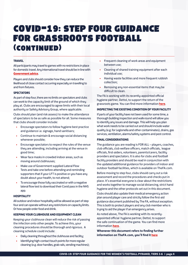### COVID-19: STEP FOUR GUIDANCE FOR GRASSROOTS FOOTBALL (continued)

#### **TRAVEL**

All participants may travel to games with no restrictions in place for domestic travel. Any international travel should be in line with **[Government advice](https://www.gov.uk/government/speeches/international-travel-from-amber-list-countries-and-territories)**.

Players and clubs should consider how they can reduce the likelihood of close contact occurring especially on travelling to and from fixtures.

#### **SPECTATORS**

As part of step four, there are no limits on spectators and clubs can work to the capacity limit of the ground of which they play at. Clubs are encouraged to agree limits with their local authority or Safety Advisory Group, where applicable.

Clubs should plan (and risk assess) to make the attendance of spectators to be as safe as possible for all. Some measures that clubs should consider include:

- Encourage spectators to follow hygiene best practice and guidance i.e. signage, hand sanitisers;
- Continue to maintain & encourage social distancing whenever possible;
- Encourage spectators to respect the rules of the venue they are attending, including arriving at the venue in good time;
- Wear face masks in crowded indoor areas, such as moving around clubhouses;
- Make use of Government supplied Lateral Flow Tests and take one before attending and reminding supporters that if your LFT is positive or you have any doubt about your health, to not attend;
- To encourage those fully vaccinated or with a negative lateral flow test to download their Covid pass in the NHS app.

#### **HOSPITALITY**

All outdoor and indoor hospitality will be allowed as part of step four and can operate without any restrictions on capacity limits. Or how people order food and drink.

#### **KEEPING YOUR CLUBHOUSE AND EQUIPMENT CLEAN**

Keeping your clubhouse clean will reduce the risk of passing the infection onto other people. To achieve this, your cleaning procedures should be thorough and rigorous. A cleaning schedule could include:

- Daily cleaning throughout the clubhouse and facility;
- Identifuing high-contact touch points for more regular cleaning (e.g. door handles, grab rails, vending machines);
- Frequent cleaning of work areas and equipment between use;
- Cleaning of shared training equipment after each individual use;
- Having waste facilities and more frequent rubbish collection;
- Removing any non-essential items that may be difficult to clean.

The FA is working with its recently-appointed official hygiene partner, Dettol, to support the return of the grassroots game. You can find more information **[here](https://www.thefa.com/about-football-association/covid-19)**.

#### **INSPECTING THE EXISTING CONDITION OF YOUR FACILITY**

If parts of your facility have not been used for some time, a thorough building inspection and walk-round will allow you to identify any issues and damage. This will help you plan what work needs to be carried out and should include water quality (e.g. for Legionella and other contaminates), drains, gas services, ventilation, alarms/safety systems and pest control.

#### **FINAL CONSIDERATIONS**

The guidance you are reading is FOR ALL – players, coaches, club officials, club welfare officers, match officials, league officials, first-aiders, volunteers, parents/carers, facility providers and spectators. It is also for clubs and football facility providers and should be read in conjunction with the updated additional guidance for providers of indoor and outdoor football facilities, which is available on TheFA.com.

Before moving to step four, clubs should carry out a risk assessment and record the procedures and checks put in place. It's essential everyone is clear about the restrictions and works together to manage social distancing, strict hand hygiene and the other protocols set out in this document.

Clubs should also update their medical emergency action plan around player care and strictly follow the first-aid guidance document published by The FA, without exception. This is both to protect players and any club member who is trying to aid the player if an emergency arises.

As noted above, The FA is working with its recentlyappointed official hygiene partner, Dettol, to support the safe continuation of the game. You can find more information **[here](https://playon.dettol.co.uk)**.

**Whenever this document refers to finding further information on TheFA.com, you'll find it [here](https://www.thefa.com/about-football-association/covid-19)**